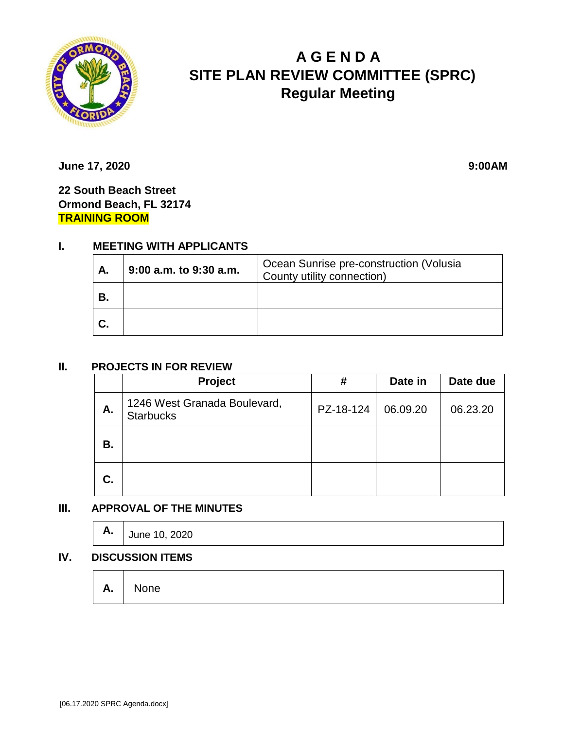

# **A G E N D A SITE PLAN REVIEW COMMITTEE (SPRC) Regular Meeting**

**June 17, 2020** 9:00AM

**22 South Beach Street Ormond Beach, FL 32174 TRAINING ROOM**

## **I. MEETING WITH APPLICANTS**

| А. | 9:00 a.m. to 9:30 a.m. | Ocean Sunrise pre-construction (Volusia<br>County utility connection) |
|----|------------------------|-----------------------------------------------------------------------|
| В. |                        |                                                                       |
| C. |                        |                                                                       |

#### **II. PROJECTS IN FOR REVIEW**

|    | <b>Project</b>                                   | #         | Date in  | Date due |
|----|--------------------------------------------------|-----------|----------|----------|
| Α. | 1246 West Granada Boulevard,<br><b>Starbucks</b> | PZ-18-124 | 06.09.20 | 06.23.20 |
| В. |                                                  |           |          |          |
| C. |                                                  |           |          |          |

#### **III. APPROVAL OF THE MINUTES**

|  | $\mathsf{A.} \mid$ June 10, 2020 |
|--|----------------------------------|
|--|----------------------------------|

#### **IV. DISCUSSION ITEMS**

|  | $A.$ None |  |  |  |  |  |  |
|--|-----------|--|--|--|--|--|--|
|--|-----------|--|--|--|--|--|--|